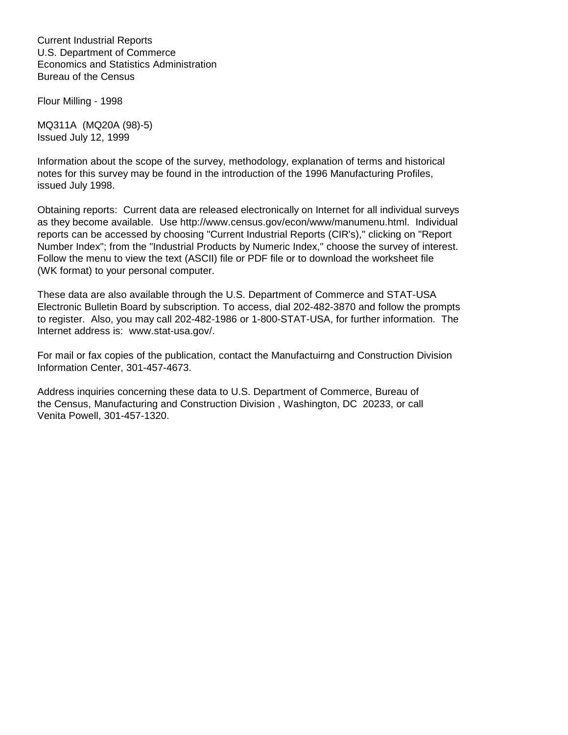Current Industrial Reports U.S. Department of Commerce Economics and Statistics Administration Bureau of the Census

Flour Milling - 1998

MQ311A (MQ20A (98)-5) Issued July 12, 1999

Information about the scope of the survey, methodology, explanation of terms and historical notes for this survey may be found in the introduction of the 1996 Manufacturing Profiles, issued July 1998.

Obtaining reports: Current data are released electronically on Internet for all individual surveys as they become available. Use http://www.census.gov/econ/www/manumenu.html. Individual reports can be accessed by choosing "Current Industrial Reports (CIR's)," clicking on "Report Number Index"; from the "Industrial Products by Numeric Index," choose the survey of interest. Follow the menu to view the text (ASCII) file or PDF file or to download the worksheet file (WK format) to your personal computer.

These data are also available through the U.S. Department of Commerce and STAT-USA Electronic Bulletin Board by subscription. To access, dial 202-482-3870 and follow the prompts to register. Also, you may call 202-482-1986 or 1-800-STAT-USA, for further information. The Internet address is: www.stat-usa.gov/.

For mail or fax copies of the publication, contact the Manufactuirng and Construction Division Information Center, 301-457-4673.

Address inquiries concerning these data to U.S. Department of Commerce, Bureau of the Census, Manufacturing and Construction Division , Washington, DC 20233, or call Venita Powell, 301-457-1320.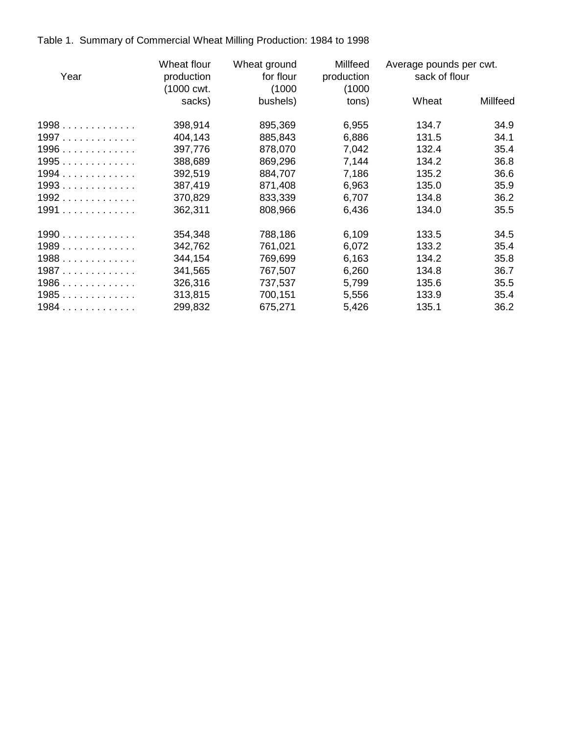Table 1. Summary of Commercial Wheat Milling Production: 1984 to 1998

| Year   | Wheat flour<br>production<br>(1000 cwt.) | Wheat ground<br>for flour<br>(1000) | Millfeed<br>production<br>(1000) | Average pounds per cwt.<br>sack of flour |          |
|--------|------------------------------------------|-------------------------------------|----------------------------------|------------------------------------------|----------|
|        | sacks)                                   | bushels)                            | tons)                            | Wheat                                    | Millfeed |
| 1998   | 398,914                                  | 895,369                             | 6,955                            | 134.7                                    | 34.9     |
| $1997$ | 404,143                                  | 885,843                             | 6,886                            | 131.5                                    | 34.1     |
| 1996   | 397,776                                  | 878,070                             | 7,042                            | 132.4                                    | 35.4     |
| 1995   | 388,689                                  | 869,296                             | 7,144                            | 134.2                                    | 36.8     |
| 1994   | 392,519                                  | 884,707                             | 7,186                            | 135.2                                    | 36.6     |
| 1993   | 387,419                                  | 871,408                             | 6,963                            | 135.0                                    | 35.9     |
| 1992   | 370,829                                  | 833,339                             | 6,707                            | 134.8                                    | 36.2     |
| 1991   | 362,311                                  | 808,966                             | 6,436                            | 134.0                                    | 35.5     |
| 1990   | 354,348                                  | 788,186                             | 6,109                            | 133.5                                    | 34.5     |
| 1989   | 342,762                                  | 761,021                             | 6,072                            | 133.2                                    | 35.4     |
| 1988   | 344,154                                  | 769,699                             | 6,163                            | 134.2                                    | 35.8     |
| 1987   | 341,565                                  | 767,507                             | 6,260                            | 134.8                                    | 36.7     |
| $1986$ | 326,316                                  | 737,537                             | 5,799                            | 135.6                                    | 35.5     |
| 1985   | 313,815                                  | 700,151                             | 5,556                            | 133.9                                    | 35.4     |
| 1984   | 299,832                                  | 675,271                             | 5,426                            | 135.1                                    | 36.2     |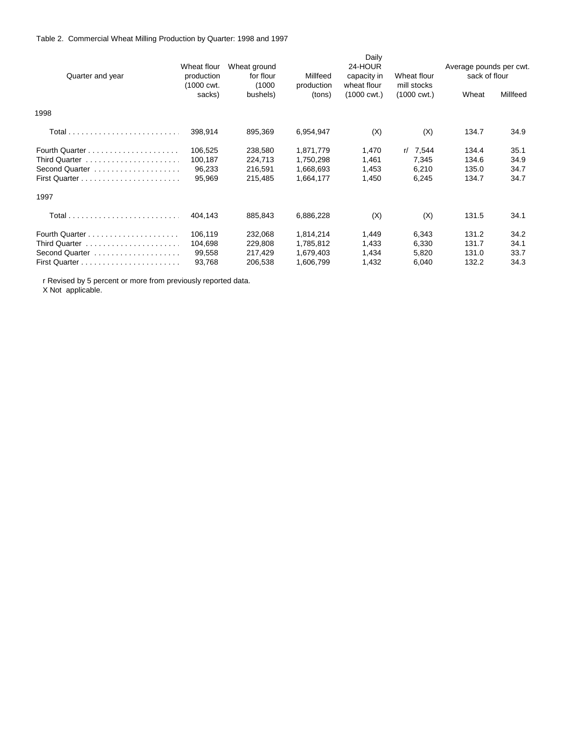## Table 2. Commercial Wheat Milling Production by Quarter: 1998 and 1997

|                  |             |              |            | Daily                 |                       |                         |          |  |
|------------------|-------------|--------------|------------|-----------------------|-----------------------|-------------------------|----------|--|
|                  | Wheat flour | Wheat ground |            | 24-HOUR               |                       | Average pounds per cwt. |          |  |
| Quarter and year | production  | for flour    | Millfeed   | capacity in           | Wheat flour           | sack of flour           |          |  |
|                  | (1000 cwt.  | (1000)       | production | wheat flour           | mill stocks           |                         |          |  |
|                  | sacks)      | bushels)     | (tons)     | $(1000 \text{ cwt.})$ | $(1000 \text{ cwt.})$ | Wheat                   | Millfeed |  |
| 1998             |             |              |            |                       |                       |                         |          |  |
|                  | 398,914     | 895,369      | 6,954,947  | (X)                   | (X)                   | 134.7                   | 34.9     |  |
|                  | 106,525     | 238,580      | 1,871,779  | 1,470                 | r/7,544               | 134.4                   | 35.1     |  |
| Third Quarter    | 100,187     | 224,713      | 1,750,298  | 1,461                 | 7,345                 | 134.6                   | 34.9     |  |
| Second Quarter   | 96,233      | 216,591      | 1,668,693  | 1,453                 | 6,210                 | 135.0                   | 34.7     |  |
|                  | 95,969      | 215,485      | 1,664,177  | 1,450                 | 6,245                 | 134.7                   | 34.7     |  |
| 1997             |             |              |            |                       |                       |                         |          |  |
|                  | 404,143     | 885,843      | 6,886,228  | (X)                   | (X)                   | 131.5                   | 34.1     |  |
|                  | 106,119     | 232,068      | 1,814,214  | 1,449                 | 6,343                 | 131.2                   | 34.2     |  |
|                  | 104,698     | 229,808      | 1,785,812  | 1,433                 | 6,330                 | 131.7                   | 34.1     |  |
| Second Quarter   | 99,558      | 217,429      | 1,679,403  | 1,434                 | 5,820                 | 131.0                   | 33.7     |  |
|                  | 93,768      | 206,538      | 1,606,799  | 1,432                 | 6,040                 | 132.2                   | 34.3     |  |

r Revised by 5 percent or more from previously reported data.

X Not applicable.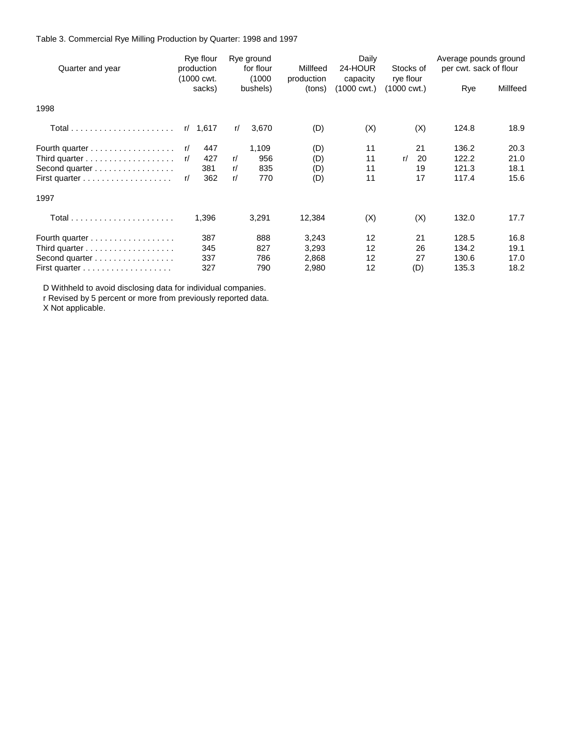Table 3. Commercial Rye Milling Production by Quarter: 1998 and 1997

| Quarter and year |    | Rye flour<br>production<br>(1000 cwt. |    | Rye ground<br>for flour<br>(1000) | Millfeed             | Daily<br>24-HOUR        | Stocks of<br>rye flour | Average pounds ground<br>per cwt. sack of flour |          |
|------------------|----|---------------------------------------|----|-----------------------------------|----------------------|-------------------------|------------------------|-------------------------------------------------|----------|
|                  |    | sacks)                                |    | bushels)                          | production<br>(tons) | capacity<br>(1000 cwt.) | (1000 cwt.)            | Rye                                             | Millfeed |
| 1998             |    |                                       |    |                                   |                      |                         |                        |                                                 |          |
|                  |    | r/1,617                               | r/ | 3,670                             | (D)                  | (X)                     | (X)                    | 124.8                                           | 18.9     |
| Fourth quarter   | r/ | 447                                   |    | 1,109                             | (D)                  | 11                      | 21                     | 136.2                                           | 20.3     |
|                  | r/ | 427                                   | r/ | 956                               | (D)                  | 11                      | 20<br>r/               | 122.2                                           | 21.0     |
| Second quarter   |    | 381                                   | r/ | 835                               | (D)                  | 11                      | 19                     | 121.3                                           | 18.1     |
|                  | r/ | 362                                   | r/ | 770                               | (D)                  | 11                      | 17                     | 117.4                                           | 15.6     |
| 1997             |    |                                       |    |                                   |                      |                         |                        |                                                 |          |
|                  |    | 1,396                                 |    | 3,291                             | 12,384               | (X)                     | (X)                    | 132.0                                           | 17.7     |
| Fourth quarter   |    | 387                                   |    | 888                               | 3,243                | 12                      | 21                     | 128.5                                           | 16.8     |
|                  |    | 345                                   |    | 827                               | 3,293                | 12                      | 26                     | 134.2                                           | 19.1     |
| Second quarter   |    | 337                                   |    | 786                               | 2,868                | $12 \overline{ }$       | 27                     | 130.6                                           | 17.0     |
|                  |    | 327                                   |    | 790                               | 2,980                | 12                      | (D)                    | 135.3                                           | 18.2     |

D Withheld to avoid disclosing data for individual companies.

r Revised by 5 percent or more from previously reported data.

X Not applicable.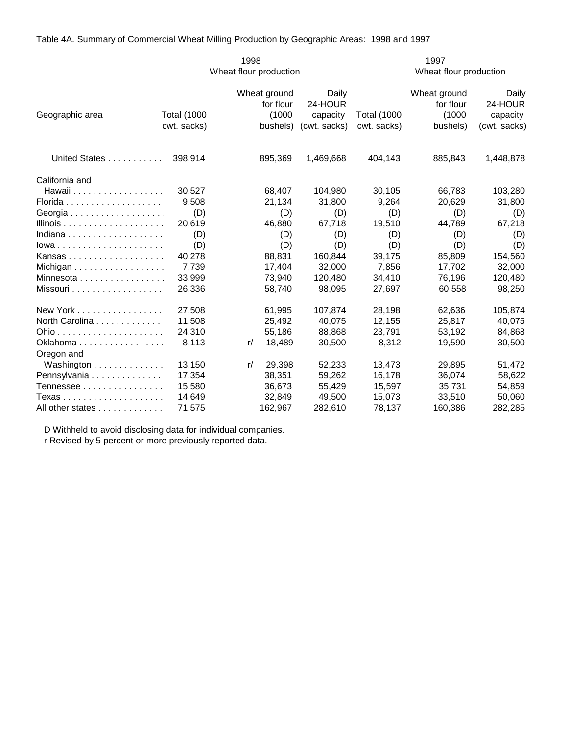Table 4A. Summary of Commercial Wheat Milling Production by Geographic Areas: 1998 and 1997

|                                                |                                   | 1998                                            |                                              |                                   | 1997                                            |                                              |  |  |  |
|------------------------------------------------|-----------------------------------|-------------------------------------------------|----------------------------------------------|-----------------------------------|-------------------------------------------------|----------------------------------------------|--|--|--|
|                                                |                                   | Wheat flour production                          |                                              |                                   | Wheat flour production                          |                                              |  |  |  |
| Geographic area                                | <b>Total (1000</b><br>cwt. sacks) | Wheat ground<br>for flour<br>(1000)<br>bushels) | Daily<br>24-HOUR<br>capacity<br>(cwt. sacks) | <b>Total (1000</b><br>cwt. sacks) | Wheat ground<br>for flour<br>(1000)<br>bushels) | Daily<br>24-HOUR<br>capacity<br>(cwt. sacks) |  |  |  |
|                                                |                                   |                                                 |                                              |                                   |                                                 |                                              |  |  |  |
| United States                                  | 398,914                           | 895,369                                         | 1,469,668                                    | 404,143                           | 885,843                                         | 1,448,878                                    |  |  |  |
| California and                                 |                                   |                                                 |                                              |                                   |                                                 |                                              |  |  |  |
| Hawaii                                         | 30,527                            | 68,407                                          | 104,980                                      | 30,105                            | 66,783                                          | 103,280                                      |  |  |  |
|                                                | 9,508                             | 21,134                                          | 31,800                                       | 9,264                             | 20,629                                          | 31,800                                       |  |  |  |
|                                                | (D)                               | (D)                                             | (D)                                          | (D)                               | (D)                                             | (D)                                          |  |  |  |
|                                                | 20,619                            | 46,880                                          | 67,718                                       | 19,510                            | 44,789                                          | 67,218                                       |  |  |  |
|                                                | (D)                               | (D)                                             | (D)                                          | (D)                               | (D)                                             | (D)                                          |  |  |  |
| $lowa \ldots \ldots \ldots \ldots \ldots$      | (D)                               | (D)                                             | (D)                                          | (D)                               | (D)                                             | (D)                                          |  |  |  |
| Kansas                                         | 40,278                            | 88,831                                          | 160,844                                      | 39,175                            | 85,809                                          | 154,560                                      |  |  |  |
| Michigan                                       | 7,739                             | 17,404                                          | 32,000                                       | 7,856                             | 17,702                                          | 32,000                                       |  |  |  |
| Minnesota $\ldots \ldots \ldots \ldots \ldots$ | 33,999                            | 73,940                                          | 120,480                                      | 34,410                            | 76,196                                          | 120,480                                      |  |  |  |
| Missouri                                       | 26,336                            | 58,740                                          | 98,095                                       | 27,697                            | 60,558                                          | 98,250                                       |  |  |  |
| New York                                       | 27,508                            | 61,995                                          | 107,874                                      | 28,198                            | 62,636                                          | 105,874                                      |  |  |  |
| North Carolina                                 | 11,508                            | 25,492                                          | 40,075                                       | 12,155                            | 25,817                                          | 40,075                                       |  |  |  |
|                                                | 24,310                            | 55,186                                          | 88,868                                       | 23,791                            | 53,192                                          | 84,868                                       |  |  |  |
| Oklahoma<br>Oregon and                         | 8,113                             | 18,489<br>r/                                    | 30,500                                       | 8,312                             | 19,590                                          | 30,500                                       |  |  |  |
| Washington                                     | 13,150                            | 29,398<br>r/                                    | 52,233                                       | 13,473                            | 29,895                                          | 51,472                                       |  |  |  |
| Pennsylvania                                   | 17,354                            | 38,351                                          | 59,262                                       | 16,178                            | 36,074                                          | 58,622                                       |  |  |  |
| Tennessee                                      | 15,580                            | 36,673                                          | 55.429                                       | 15.597                            | 35.731                                          | 54,859                                       |  |  |  |
|                                                | 14,649                            | 32,849                                          | 49,500                                       | 15,073                            | 33,510                                          | 50,060                                       |  |  |  |
| All other states                               | 71,575                            | 162,967                                         | 282,610                                      | 78,137                            | 160,386                                         | 282,285                                      |  |  |  |

 D Withheld to avoid disclosing data for individual companies. r Revised by 5 percent or more previously reported data.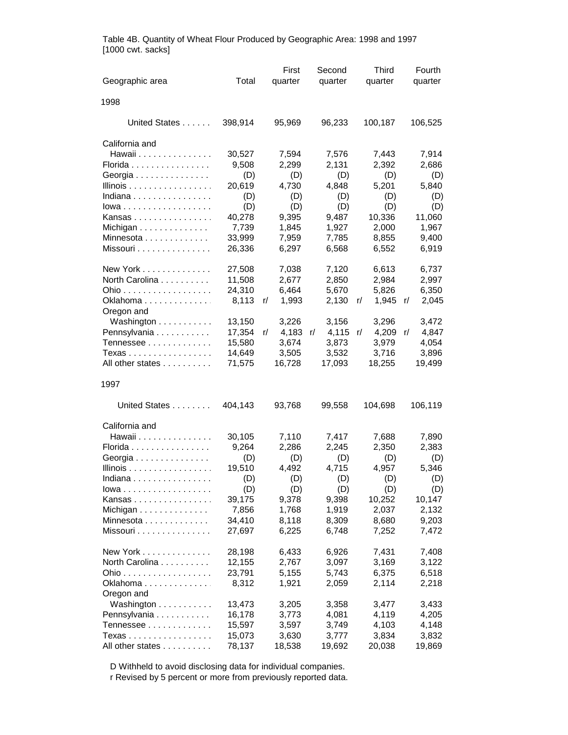| Geographic area                        | Total            | First<br>quarter | Second<br>quarter | <b>Third</b><br>quarter | Fourth<br>quarter |
|----------------------------------------|------------------|------------------|-------------------|-------------------------|-------------------|
| 1998                                   |                  |                  |                   |                         |                   |
| United States                          | 398,914          | 95,969           | 96,233            | 100,187                 | 106,525           |
| California and                         |                  |                  |                   |                         |                   |
| Hawaii<br>Florida                      | 30,527<br>9,508  | 7,594<br>2,299   | 7,576<br>2,131    | 7,443<br>2,392          | 7,914<br>2,686    |
| Georgia                                | (D)              | (D)              | (D)               | (D)                     | (D)               |
| Illinois                               | 20,619           | 4,730            | 4,848             | 5,201                   | 5,840             |
| Indiana                                | (D)              | (D)              | (D)               | (D)                     | (D)               |
| lowa                                   | (D)              | (D)              | (D)               | (D)                     | (D)               |
| Kansas<br>Michigan                     | 40,278<br>7,739  | 9,395<br>1,845   | 9,487<br>1,927    | 10,336<br>2,000         | 11,060<br>1,967   |
| Minnesota                              | 33,999           | 7,959            | 7,785             | 8,855                   | 9,400             |
| Missouri                               | 26,336           | 6,297            | 6,568             | 6,552                   | 6,919             |
| New York                               | 27,508           | 7,038            | 7,120             | 6,613                   | 6,737             |
| North Carolina                         | 11,508           | 2,677            | 2,850             | 2,984                   | 2,997             |
| Ohio                                   | 24,310           | 6,464            | 5,670             | 5,826                   | 6,350             |
| Oklahoma<br>Oregon and                 | 8,113            | 1,993<br>r/      | 2,130             | 1,945<br>r/             | 2,045<br>r/       |
| Washington                             | 13,150           | 3,226            | 3,156             | 3,296                   | 3,472             |
| Pennsylvania                           | 17,354           | 4,183<br>r/      | 4,115<br>r/       | 4,209<br>r/             | 4,847<br>r/       |
| Tennessee<br>Texas                     | 15,580<br>14,649 | 3,674<br>3,505   | 3,873<br>3,532    | 3,979<br>3,716          | 4,054<br>3,896    |
| All other states                       | 71,575           | 16,728           | 17,093            | 18,255                  | 19,499            |
| 1997                                   |                  |                  |                   |                         |                   |
| United States                          | 404,143          | 93,768           | 99,558            | 104,698                 | 106,119           |
| California and                         |                  |                  |                   |                         |                   |
| Hawaii                                 | 30,105           | 7,110            | 7,417             | 7,688                   | 7,890             |
| Florida                                | 9,264            | 2,286            | 2,245             | 2,350                   | 2,383             |
| Georgia<br>Illinois                    | (D)<br>19,510    | (D)<br>4,492     | (D)<br>4,715      | (D)<br>4,957            | (D)<br>5,346      |
| Indiana                                | (D)              | (D)              | (D)               | (D)                     | (D)               |
| lowa                                   | (D)              | (D)              | (D)               | (D)                     | (D)               |
| Kansas                                 | 39,175           | 9,378            | 9,398             | 10,252                  | 10,147            |
| Michigan $\ldots \ldots \ldots \ldots$ | 7,856            | 1,768            | 1,919             | 2,037                   | 2,132             |
| Minnesota                              | 34,410           | 8,118            | 8,309             | 8,680                   | 9,203             |
| Missouri                               | 27,697           | 6,225            | 6,748             | 7,252                   | 7,472             |
| New York                               | 28,198           | 6,433            | 6,926             | 7,431                   | 7,408             |
| North Carolina                         | 12,155           | 2,767            | 3,097             | 3,169                   | 3,122             |
| Ohio                                   | 23,791           | 5,155            | 5,743             | 6,375                   | 6,518             |
| Oklahoma<br>Oregon and                 | 8,312            | 1,921            | 2,059             | 2,114                   | 2,218             |
| Washington                             | 13,473           | 3,205            | 3,358             | 3,477                   | 3,433             |
| Pennsylvania                           | 16,178           | 3,773            | 4,081             | 4,119                   | 4,205             |
| Tennessee                              | 15,597           | 3,597            | 3,749             | 4,103                   | 4,148             |
| Texas                                  | 15,073           | 3,630            | 3,777             | 3,834                   | 3,832             |
| All other states                       | 78,137           | 18,538           | 19,692            | 20,038                  | 19,869            |

Table 4B. Quantity of Wheat Flour Produced by Geographic Area: 1998 and 1997 [1000 cwt. sacks]

D Withheld to avoid disclosing data for individual companies.

r Revised by 5 percent or more from previously reported data.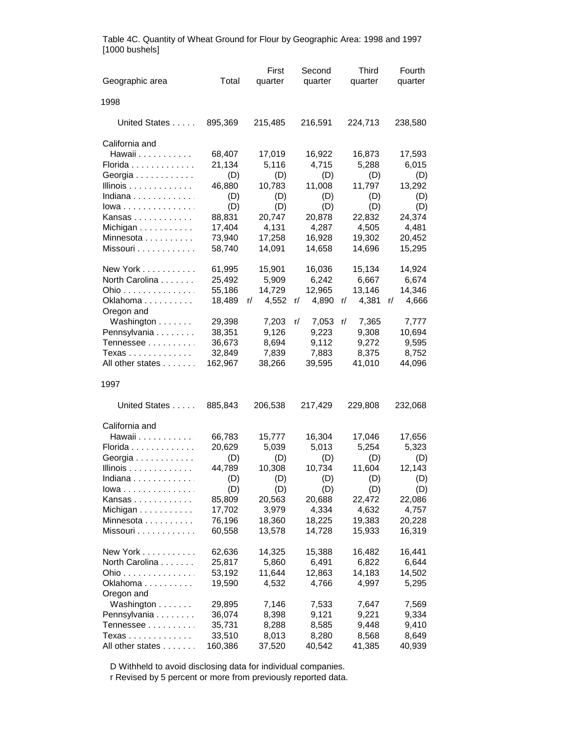|                                    |                  | First           | Second           | <b>Third</b>    | Fourth           |  |
|------------------------------------|------------------|-----------------|------------------|-----------------|------------------|--|
| Geographic area                    | Total            | quarter         | quarter          | quarter         | quarter          |  |
| 1998                               |                  |                 |                  |                 |                  |  |
| United States                      | 895,369          | 215,485         | 216,591          | 224,713         | 238,580          |  |
| California and                     |                  |                 |                  |                 |                  |  |
| Hawaii                             | 68,407           | 17,019          | 16,922           | 16,873          | 17,593           |  |
| Florida                            | 21,134           | 5,116           | 4,715            | 5,288           | 6,015            |  |
| Georgia                            | (D)              | (D)             | (D)              | (D)             | (D)              |  |
| Illinois                           | 46,880           | 10,783          | 11,008           | 11,797          | 13,292           |  |
| Indiana                            | (D)              | (D)             | (D)              | (D)             | (D)              |  |
| $Iowa \ldots \ldots \ldots \ldots$ | (D)              | (D)             | (D)              | (D)             | (D)              |  |
| Kansas                             | 88,831           | 20,747<br>4,131 | 20,878<br>4,287  | 22,832<br>4,505 | 24,374<br>4,481  |  |
| Michigan<br>Minnesota              | 17,404<br>73,940 | 17,258          | 16,928           | 19,302          | 20,452           |  |
| Missouri                           | 58,740           | 14,091          | 14,658           | 14,696          | 15,295           |  |
|                                    |                  |                 |                  |                 |                  |  |
| New York                           | 61,995           | 15,901          | 16,036           | 15,134          | 14,924           |  |
| North Carolina                     | 25,492           | 5,909           | 6,242            | 6,667           | 6,674            |  |
| Ohio                               | 55,186           | 14,729          | 12,965           | 13,146          | 14,346           |  |
| Oklahoma<br>Oregon and             | 18,489           | 4,552<br>r/     | 4,890<br>r/      | 4,381<br>r/     | 4,666<br>r/      |  |
| Washington                         | 29,398           | 7,203           | 7,053<br>r/      | 7,365<br>r/     | 7,777            |  |
| Pennsylvania                       | 38,351           | 9,126           | 9,223            | 9,308           | 10,694           |  |
| Tennessee                          | 36,673           | 8,694           | 9,112            | 9,272           | 9,595            |  |
| Texas                              | 32,849           | 7,839           | 7,883            | 8,375           | 8,752            |  |
| All other states                   | 162,967          | 38,266          | 39,595           | 41,010          | 44,096           |  |
| 1997                               |                  |                 |                  |                 |                  |  |
| United States                      | 885,843          | 206,538         | 217,429          | 229,808         | 232,068          |  |
| California and                     |                  |                 |                  |                 |                  |  |
| Hawaii                             | 66,783           | 15,777          | 16,304           | 17,046          | 17,656           |  |
| Florida                            | 20,629           | 5,039           | 5,013            | 5,254           | 5,323            |  |
| Georgia                            | (D)              | (D)             | (D)              | (D)             | (D)              |  |
| Illinois                           | 44,789           | 10,308          | 10,734           | 11,604          | 12,143           |  |
| Indiana                            | (D)              | (D)             | (D)              | (D)             | (D)              |  |
| lowa                               | (D)              | (D)             | (D)              | (D)             | (D)              |  |
| Kansas                             | 85,809           | 20,563          | 20,688           | 22,472          | 22,086           |  |
| Michigan                           | 17,702<br>76,196 | 3,979<br>18,360 | 4,334            | 4,632<br>19,383 | 4,757            |  |
| Minnesota<br>Missouri              | 60,558           | 13,578          | 18,225<br>14,728 | 15,933          | 20,228<br>16,319 |  |
|                                    |                  |                 |                  |                 |                  |  |
| New York                           | 62,636           | 14,325          | 15,388           | 16,482          | 16,441           |  |
| North Carolina                     | 25,817           | 5,860           | 6,491            | 6,822           | 6,644            |  |
| Ohio                               | 53,192           | 11,644          | 12,863           | 14,183          | 14,502           |  |
| Oklahoma<br>Oregon and             | 19,590           | 4,532           | 4,766            | 4,997           | 5,295            |  |
| Washington                         | 29,895           | 7,146           | 7,533            | 7,647           | 7,569            |  |
| Pennsylvania                       | 36,074           | 8,398           | 9,121            | 9,221           | 9,334            |  |
| Tennessee                          | 35,731           | 8,288           | 8,585            | 9,448           | 9,410            |  |
| Texas                              | 33,510           | 8,013           | 8,280            | 8,568           | 8,649            |  |
| All other states                   | 160,386          | 37,520          | 40,542           | 41,385          | 40,939           |  |

Table 4C. Quantity of Wheat Ground for Flour by Geographic Area: 1998 and 1997 [1000 bushels]

D Withheld to avoid disclosing data for individual companies.

r Revised by 5 percent or more from previously reported data.